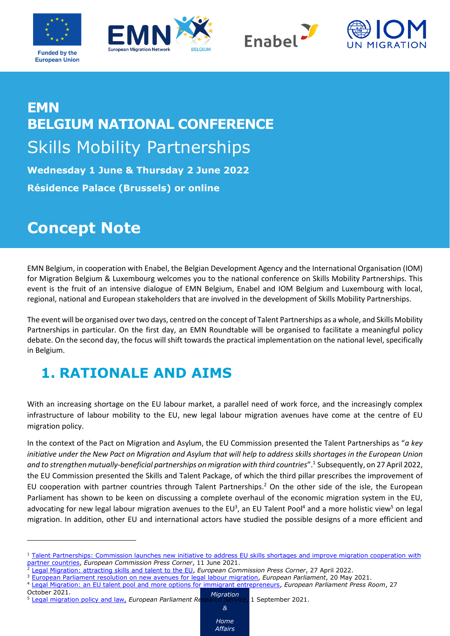







# **EMN BELGIUM NATIONAL CONFERENCE**  Skills Mobility Partnerships

**Wednesday 1 June & Thursday 2 June 2022 Résidence Palace (Brussels) or online**

## **Concept Note**

EMN Belgium, in cooperation with Enabel, the Belgian Development Agency and the International Organisation (IOM) for Migration Belgium & Luxembourg welcomes you to the national conference on Skills Mobility Partnerships. This event is the fruit of an intensive dialogue of EMN Belgium, Enabel and IOM Belgium and Luxembourg with local, regional, national and European stakeholders that are involved in the development of Skills Mobility Partnerships.

The event will be organised over two days, centred on the concept of Talent Partnerships as a whole, and Skills Mobility Partnerships in particular. On the first day, an EMN Roundtable will be organised to facilitate a meaningful policy debate. On the second day, the focus will shift towards the practical implementation on the national level, specifically in Belgium.

## **1. RATIONALE AND AIMS**

With an increasing shortage on the EU labour market, a parallel need of work force, and the increasingly complex infrastructure of labour mobility to the EU, new legal labour migration avenues have come at the centre of EU migration policy.

In the context of the Pact on Migration and Asylum, the EU Commission presented the Talent Partnerships as "*a key initiative under the [New Pact on Migration and Asylum](https://ec.europa.eu/info/strategy/priorities-2019-2024/promoting-our-european-way-life/new-pact-migration-and-asylum_en) that will help to address skills shortages in the European Union and to strengthen mutually-beneficial partnerships on migration with third countries*".<sup>1</sup> Subsequently, on 27 April 2022, the EU Commission presented the Skills and Talent Package, of which the third pillar prescribes the improvement of EU cooperation with partner countries through Talent Partnerships.<sup>2</sup> On the other side of the isle, the European Parliament has shown to be keen on discussing a complete overhaul of the economic migration system in the EU, advocating for new legal labour migration avenues to the EU<sup>3</sup>, an EU Talent Pool<sup>4</sup> and a more holistic view<sup>5</sup> on legal migration. In addition, other EU and international actors have studied the possible designs of a more efficient and

*Migration & Home Affairs*

October 2021.

<sup>&</sup>lt;sup>1</sup> Talent Partnerships: Commission launches new initiative to address EU skills shortages and improve migration cooperation with [partner countries,](https://ec.europa.eu/commission/presscorner/detail/en/ip_21_2921) *European Commission Press Corner*, 11 June 2021.

<sup>2</sup> [Legal Migration: attracting skills and talent to the EU,](https://ec.europa.eu/commission/presscorner/detail/en/ip_21_2921) *European Commission Press Corner*, 27 April 2022.

<sup>3</sup> [European Parliament resolution on new avenues for legal labour migration,](https://www.europarl.europa.eu/doceo/document/TA-9-2021-0260_EN.html) *European Parliament*, 20 May 2021.

<sup>4</sup> [Legal Migration: an EU talent pool and more options for immigrant entrepreneurs,](https://www.europarl.europa.eu/news/en/press-room/20211019IPR15241/legal-migration-an-eu-talent-pool-and-more-options-for-immigrant-entrepreneurs) *European Parliament Press Room*, 27

<sup>5</sup> [Legal migration policy and law,](https://www.europarl.europa.eu/thinktank/en/document/EPRS_STU(2021)694211) *European Parliament Research Service*, 1 September 2021.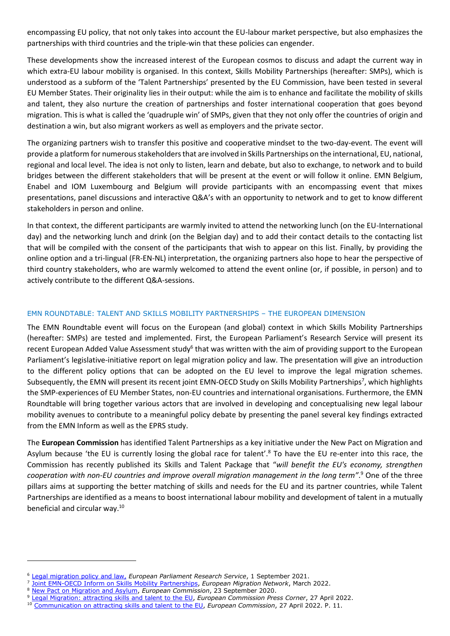encompassing EU policy, that not only takes into account the EU-labour market perspective, but also emphasizes the partnerships with third countries and the triple-win that these policies can engender.

These developments show the increased interest of the European cosmos to discuss and adapt the current way in which extra-EU labour mobility is organised. In this context, Skills Mobility Partnerships (hereafter: SMPs), which is understood as a subform of the 'Talent Partnerships' presented by the EU Commission, have been tested in several EU Member States. Their originality lies in their output: while the aim is to enhance and facilitate the mobility of skills and talent, they also nurture the creation of partnerships and foster international cooperation that goes beyond migration. This is what is called the 'quadruple win' of SMPs, given that they not only offer the countries of origin and destination a win, but also migrant workers as well as employers and the private sector.

The organizing partners wish to transfer this positive and cooperative mindset to the two-day-event. The event will provide a platform for numerous stakeholders that are involved in Skills Partnerships on the international, EU, national, regional and local level. The idea is not only to listen, learn and debate, but also to exchange, to network and to build bridges between the different stakeholders that will be present at the event or will follow it online. EMN Belgium, Enabel and IOM Luxembourg and Belgium will provide participants with an encompassing event that mixes presentations, panel discussions and interactive Q&A's with an opportunity to network and to get to know different stakeholders in person and online.

In that context, the different participants are warmly invited to attend the networking lunch (on the EU-International day) and the networking lunch and drink (on the Belgian day) and to add their contact details to the contacting list that will be compiled with the consent of the participants that wish to appear on this list. Finally, by providing the online option and a tri-lingual (FR-EN-NL) interpretation, the organizing partners also hope to hear the perspective of third country stakeholders, who are warmly welcomed to attend the event online (or, if possible, in person) and to actively contribute to the different Q&A-sessions.

#### EMN ROUNDTABLE: TALENT AND SKILLS MOBILITY PARTNERSHIPS – THE EUROPEAN DIMENSION

The EMN Roundtable event will focus on the European (and global) context in which Skills Mobility Partnerships (hereafter: SMPs) are tested and implemented. First, the European Parliament's Research Service will present its recent European Added Value Assessment study<sup>6</sup> that was written with the aim of providing support to the European Parliament's legislative-initiative report on legal migration policy and law. The presentation will give an introduction to the different policy options that can be adopted on the EU level to improve the legal migration schemes. Subsequently, the EMN will present its recent joint EMN-OECD Study on Skills Mobility Partnerships<sup>7</sup>, which highlights the SMP-experiences of EU Member States, non-EU countries and international organisations. Furthermore, the EMN Roundtable will bring together various actors that are involved in developing and conceptualising new legal labour mobility avenues to contribute to a meaningful policy debate by presenting the panel several key findings extracted from the EMN Inform as well as the EPRS study.

The **European Commission** has identified Talent Partnerships as a key initiative under the [New Pact on Migration and](https://ec.europa.eu/info/strategy/priorities-2019-2024/promoting-our-european-way-life/new-pact-migration-and-asylum_en)  [Asylum](https://ec.europa.eu/info/strategy/priorities-2019-2024/promoting-our-european-way-life/new-pact-migration-and-asylum_en) because 'the EU is currently losing the global race for talent'.<sup>8</sup> To have the EU re-enter into this race, the Commission has recently published its Skills and Talent Package that "*will benefit the EU's economy, strengthen cooperation with non-EU countries and improve overall migration management in the long term"*. <sup>9</sup> One of the three pillars aims at supporting the better matching of skills and needs for the EU and its partner countries, while Talent Partnerships are identified as a means to boost international labour mobility and development of talent in a mutually beneficial and circular way.<sup>10</sup>

<sup>6</sup> [Legal migration policy and law,](https://www.europarl.europa.eu/thinktank/en/document/EPRS_STU(2021)694211) *European Parliament Research Service*, 1 September 2021.

<sup>7</sup> [Joint EMN-OECD Inform on Skills Mobility Partnerships,](https://emnbelgium.be/publication/skills-mobility-partnerships-exploring-innovative-approaches-labour-migration) *European Migration Network*, March 2022.

<sup>8</sup> [New Pact on Migration and Asylum,](https://ec.europa.eu/info/strategy/priorities-2019-2024/promoting-our-european-way-life/new-pact-migration-and-asylum/skills-and-talent_en) *European Commission*, 23 September 2020.

<sup>9</sup> [Legal Migration: attracting skills and talent to the EU,](https://ec.europa.eu/commission/presscorner/detail/en/ip_21_2921) *European Commission Press Corner*, 27 April 2022.

<sup>10</sup> [Communication on attracting skills and talent to the EU,](https://ec.europa.eu/home-affairs/communication-attracting-skills-and-talent-eu_en) *European Commission*, 27 April 2022. P. 11.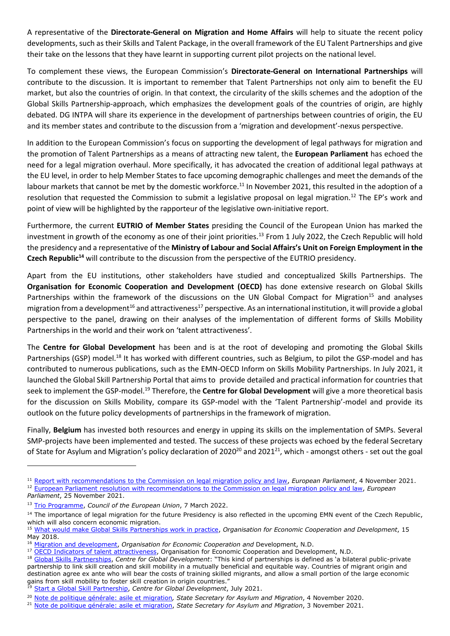A representative of the **Directorate-General on Migration and Home Affairs** will help to situate the recent policy developments, such as their Skills and Talent Package, in the overall framework of the EU Talent Partnerships and give their take on the lessons that they have learnt in supporting current pilot projects on the national level.

To complement these views, the European Commission's **Directorate-General on International Partnerships** will contribute to the discussion. It is important to remember that Talent Partnerships not only aim to benefit the EU market, but also the countries of origin. In that context, the circularity of the skills schemes and the adoption of the Global Skills Partnership-approach, which emphasizes the development goals of the countries of origin, are highly debated. DG INTPA will share its experience in the development of partnerships between countries of origin, the EU and its member states and contribute to the discussion from a 'migration and development'-nexus perspective.

In addition to the European Commission's focus on supporting the development of legal pathways for migration and the promotion of Talent Partnerships as a means of attracting new talent, the **European Parliament** has echoed the need for a legal migration overhaul. More specifically, it has advocated the creation of additional legal pathways at the EU level, in order to help Member States to face upcoming demographic challenges and meet the demands of the labour markets that cannot be met by the domestic workforce.<sup>11</sup> In November 2021, this resulted in the adoption of a resolution that requested the Commission to submit a legislative proposal on legal migration.<sup>12</sup> The EP's work and point of view will be highlighted by the rapporteur of the legislative own-initiative report.

Furthermore, the current **EUTRIO of Member States** presiding the Council of the European Union has marked the investment in growth of the economy as one of their joint priorities.<sup>13</sup> From 1 July 2022, the Czech Republic will hold the presidency and a representative of the **Ministry of Labour and Social Affairs's Unit on Foreign Employment in the Czech Republic<sup>14</sup>** will contribute to the discussion from the perspective of the EUTRIO presidency.

Apart from the EU institutions, other stakeholders have studied and conceptualized Skills Partnerships. The **Organisation for Economic Cooperation and Development (OECD)** has done extensive research on Global Skills Partnerships within the framework of the discussions on the UN Global Compact for Migration<sup>15</sup> and analyses migration from a development<sup>16</sup> and attractiveness<sup>17</sup> perspective. As an international institution, it will provide a global perspective to the panel, drawing on their analyses of the implementation of different forms of Skills Mobility Partnerships in the world and their work on 'talent attractiveness'.

The **Centre for Global Development** has been and is at the root of developing and promoting the Global Skills Partnerships (GSP) model.<sup>18</sup> It has worked with different countries, such as Belgium, to pilot the GSP-model and has contributed to numerous publications, such as the EMN-OECD Inform on Skills Mobility Partnerships. In July 2021, it launched the Global Skill Partnership Portal that aims to provide detailed and practical information for countries that seek to implement the GSP-model.<sup>19</sup> Therefore, the **Centre for Global Development** will give a more theoretical basis for the discussion on Skills Mobility, compare its GSP-model with the 'Talent Partnership'-model and provide its outlook on the future policy developments of partnerships in the framework of migration.

Finally, **Belgium** has invested both resources and energy in upping its skills on the implementation of SMPs. Several SMP-projects have been implemented and tested. The success of these projects was echoed by the federal Secretary of State for Asylum and Migration's policy declaration of  $2020^{20}$  and  $2021^{21}$ , which - amongst others - set out the goal

<sup>11</sup> [Report with recommendations to the Commission on legal migration policy and law,](https://www.europarl.europa.eu/doceo/document/A-9-2021-0314_EN.html) *European Parliament*, 4 November 2021. <sup>12</sup> [European Parliament resolution with recommendations](https://www.europarl.europa.eu/doceo/document/TA-9-2021-0472_EN.html) to the Commission on legal migration policy and law, *European Parliament*, 25 November 2021.

<sup>13</sup> [Trio Programme,](https://presidence-francaise.consilium.europa.eu/en/programme/trio-programme/) *Council of the European Union*, 7 March 2022.

<sup>&</sup>lt;sup>14</sup> The importance of legal migration for the future Presidency is also reflected in the upcoming EMN event of the Czech Republic, which will also concern economic migration.

<sup>15</sup> [What would make Global Skills Partnerships work in practice,](https://www.oecd.org/els/mig/migration-policy-debate-15.pdf) *Organisation for Economic Cooperation and Development*, 15 May 2018.

<sup>16</sup> [Migration and development,](https://www.oecd.org/migration/migration-development/) *Organisation for Economic Cooperation and* Development, N.D.

<sup>&</sup>lt;sup>17</sup> [OECD Indicators of talent attractiveness,](https://www.oecd.org/migration/talent-attractiveness/) Organisation for Economic Cooperation and Development, N.D. <sup>18</sup> [Global Skills Partnerships,](https://gsp.cgdev.org/learn-more/) *Centre for Global Development*: "This kind of partnerships is defined as 'a bilateral public-private partnership to link skill creation and skill mobility in a mutually beneficial and equitable way. Countries of migrant origin and destination agree ex ante who will bear the costs of training skilled migrants, and allow a small portion of the large economic gains from skill mobility to foster skill creation in origin countries.'

<sup>19</sup> [Start a Global Skill Partnership,](https://gsp.cgdev.org/start-a-gsp/) *Centre for Global Development*, July 2021.

<sup>20</sup> [Note de politique générale: asile et migration](https://www.dekamer.be/FLWB/PDF/55/1580/55K1580014.pdf.)*, State Secretary for Asylum and Migration*, 4 November 2020.

<sup>21</sup> [Note de politique générale: asile et migration,](https://latribune.avocats.be/sites/latribune/files/55k2294022.pdf) *State Secretary for Asylum and Migration*, 3 November 2021.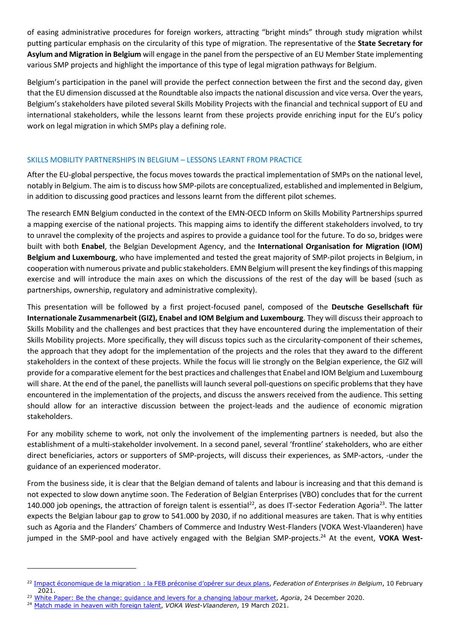of easing administrative procedures for foreign workers, attracting "bright minds" through study migration whilst putting particular emphasis on the circularity of this type of migration. The representative of the **State Secretary for Asylum and Migration in Belgium** will engage in the panel from the perspective of an EU Member State implementing various SMP projects and highlight the importance of this type of legal migration pathways for Belgium.

Belgium's participation in the panel will provide the perfect connection between the first and the second day, given that the EU dimension discussed at the Roundtable also impacts the national discussion and vice versa. Over the years, Belgium's stakeholders have piloted several Skills Mobility Projects with the financial and technical support of EU and international stakeholders, while the lessons learnt from these projects provide enriching input for the EU's policy work on legal migration in which SMPs play a defining role.

#### SKILLS MOBILITY PARTNERSHIPS IN BELGIUM – LESSONS LEARNT FROM PRACTICE

After the EU-global perspective, the focus moves towards the practical implementation of SMPs on the national level, notably in Belgium. The aim is to discuss how SMP-pilots are conceptualized, established and implemented in Belgium, in addition to discussing good practices and lessons learnt from the different pilot schemes.

The research EMN Belgium conducted in the context of the EMN-OECD Inform on Skills Mobility Partnerships spurred a mapping exercise of the national projects. This mapping aims to identify the different stakeholders involved, to try to unravel the complexity of the projects and aspires to provide a guidance tool for the future. To do so, bridges were built with both **Enabel**, the Belgian Development Agency, and the **International Organisation for Migration (IOM) Belgium and Luxembourg**, who have implemented and tested the great majority of SMP-pilot projects in Belgium, in cooperation with numerous private and public stakeholders. EMN Belgium will present the key findings of this mapping exercise and will introduce the main axes on which the discussions of the rest of the day will be based (such as partnerships, ownership, regulatory and administrative complexity).

This presentation will be followed by a first project-focused panel, composed of the **Deutsche Gesellschaft für Internationale Zusammenarbeit (GIZ), Enabel and IOM Belgium and Luxembourg**. They will discuss their approach to Skills Mobility and the challenges and best practices that they have encountered during the implementation of their Skills Mobility projects. More specifically, they will discuss topics such as the circularity-component of their schemes, the approach that they adopt for the implementation of the projects and the roles that they award to the different stakeholders in the context of these projects. While the focus will lie strongly on the Belgian experience, the GIZ will provide for a comparative element for the best practices and challenges that Enabel and IOM Belgium and Luxembourg will share. At the end of the panel, the panellists will launch several poll-questions on specific problems that they have encountered in the implementation of the projects, and discuss the answers received from the audience. This setting should allow for an interactive discussion between the project-leads and the audience of economic migration stakeholders.

For any mobility scheme to work, not only the involvement of the implementing partners is needed, but also the establishment of a multi-stakeholder involvement. In a second panel, several 'frontline' stakeholders, who are either direct beneficiaries, actors or supporters of SMP-projects, will discuss their experiences, as SMP-actors, -under the guidance of an experienced moderator.

From the business side, it is clear that the Belgian demand of talents and labour is increasing and that this demand is not expected to slow down anytime soon. The Federation of Belgian Enterprises (VBO) concludes that for the current 140.000 job openings, the attraction of foreign talent is essential<sup>22</sup>, as does IT-sector Federation Agoria<sup>23</sup>. The latter expects the Belgian labour gap to grow to 541.000 by 2030, if no additional measures are taken. That is why entities such as Agoria and the Flanders' Chambers of Commerce and Industry West-Flanders (VOKA West-Vlaanderen) have jumped in the SMP-pool and have actively engaged with the Belgian SMP-projects.<sup>24</sup> At the event, **VOKA West-**

<sup>22</sup> Impact économique de la migration [: la FEB préconise d'opérer sur deux plan](https://www.vbo-feb.be/en/business-issues/labour-market--jobs/migration-de-travailleurs/impact-economique-de-la-migration--la-feb-preconise-doperer-sur-deux-plans_10-02-21/)s, *Federation of Enterprises in Belgium*, 10 February 2021.

<sup>23</sup> [White Paper: Be the change: guidance and levers for a changing labour market,](https://www.agoria.be/en/human-capital-education/education-labour-market/white-paper-be-the-change-guidance-and-levers-for-a-changing-labour-market) *Agoria*, 24 December 2020.

<sup>&</sup>lt;sup>24</sup> [Match made in heaven with foreign talent,](https://www.voka.be/nieuws/match-made-heaven-foreign-talent) *VOKA West-Vlaanderen*, 19 March 2021.